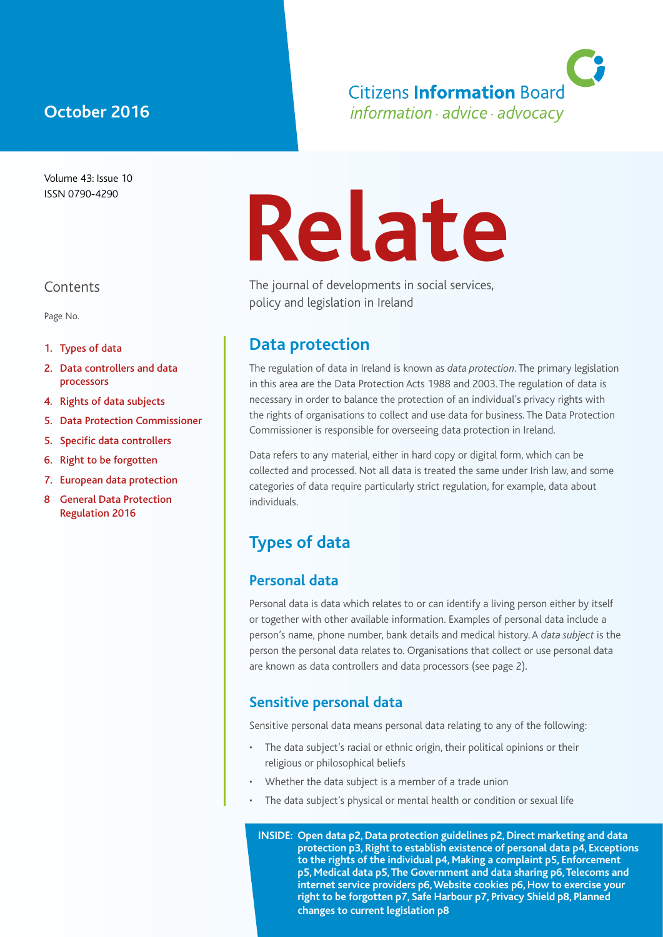# **October 2016**

Volume 43: Issue 10 ISSN 0790-4290

#### **Contents**

Page No.

- 1. Types of data
- 2. Data controllers and data processors
- 4. Rights of data subjects
- 5. Data Protection Commissioner
- 5. Specific data controllers
- 6. Right to be forgotten
- 7. European data protection
- 8 General Data Protection Regulation 2016

# **Relate**

The journal of developments in social services, policy and legislation in Ireland

#### **Data protection**

The regulation of data in Ireland is known as *data protection*. The primary legislation in this area are the Data Protection Acts 1988 and 2003. The regulation of data is necessary in order to balance the protection of an individual's privacy rights with the rights of organisations to collect and use data for business. The Data Protection Commissioner is responsible for overseeing data protection in Ireland.

Data refers to any material, either in hard copy or digital form, which can be collected and processed. Not all data is treated the same under Irish law, and some categories of data require particularly strict regulation, for example, data about individuals.

# **Types of data**

#### **Personal data**

Personal data is data which relates to or can identify a living person either by itself or together with other available information. Examples of personal data include a person's name, phone number, bank details and medical history. A *data subject* is the person the personal data relates to. Organisations that collect or use personal data are known as data controllers and data processors (see page 2).

#### **Sensitive personal data**

Sensitive personal data means personal data relating to any of the following:

- The data subject's racial or ethnic origin, their political opinions or their religious or philosophical beliefs
- Whether the data subject is a member of a trade union
- The data subject's physical or mental health or condition or sexual life

**INSIDE: Open data p2, Data protection guidelines p2, Direct marketing and data protection p3, Right to establish existence of personal data p4, Exceptions to the rights of the individual p4, Making a complaint p5, Enforcement p5, Medical data p5, The Government and data sharing p6, Telecoms and internet service providers p6, Website cookies p6, How to exercise your right to be forgotten p7, Safe Harbour p7, Privacy Shield p8, Planned changes to current legislation p8**

**Citizens Information Board** information · advice · advocacy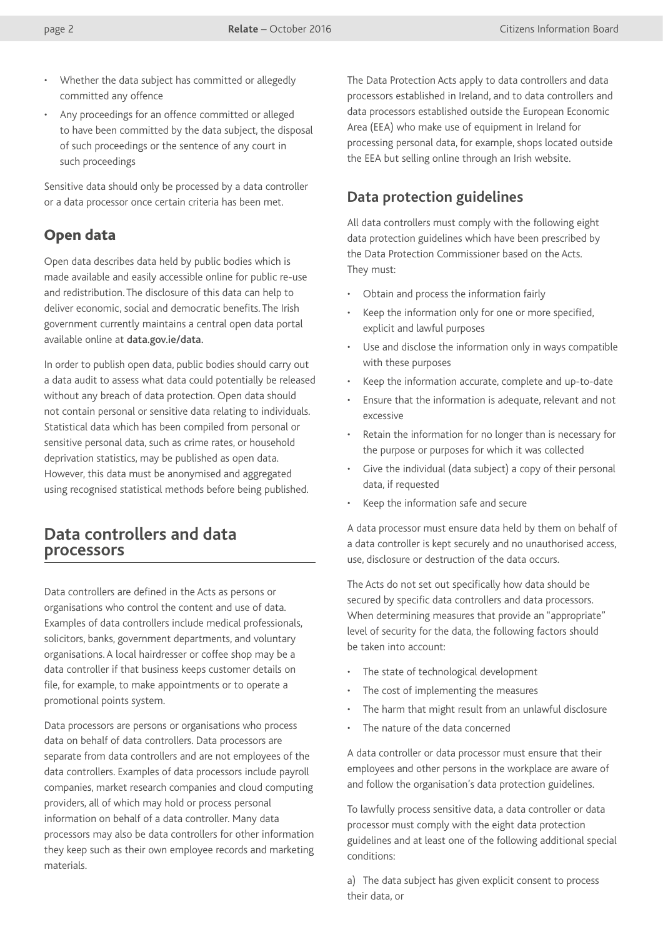- Whether the data subject has committed or allegedly committed any offence
- Any proceedings for an offence committed or alleged to have been committed by the data subject, the disposal of such proceedings or the sentence of any court in such proceedings

Sensitive data should only be processed by a data controller or a data processor once certain criteria has been met.

#### Open data

Open data describes data held by public bodies which is made available and easily accessible online for public re-use and redistribution. The disclosure of this data can help to deliver economic, social and democratic benefits. The Irish government currently maintains a central open data portal available online at [data.gov.ie/data.](http://data.gov.ie/data)

In order to publish open data, public bodies should carry out a data audit to assess what data could potentially be released without any breach of data protection. Open data should not contain personal or sensitive data relating to individuals. Statistical data which has been compiled from personal or sensitive personal data, such as crime rates, or household deprivation statistics, may be published as open data. However, this data must be anonymised and aggregated using recognised statistical methods before being published.

#### **Data controllers and data processors**

Data controllers are defined in the Acts as persons or organisations who control the content and use of data. Examples of data controllers include medical professionals, solicitors, banks, government departments, and voluntary organisations. A local hairdresser or coffee shop may be a data controller if that business keeps customer details on file, for example, to make appointments or to operate a promotional points system.

Data processors are persons or organisations who process data on behalf of data controllers. Data processors are separate from data controllers and are not employees of the data controllers. Examples of data processors include payroll companies, market research companies and cloud computing providers, all of which may hold or process personal information on behalf of a data controller. Many data processors may also be data controllers for other information they keep such as their own employee records and marketing materials.

The Data Protection Acts apply to data controllers and data processors established in Ireland, and to data controllers and data processors established outside the European Economic Area (EEA) who make use of equipment in Ireland for processing personal data, for example, shops located outside the EEA but selling online through an Irish website.

#### **Data protection guidelines**

All data controllers must comply with the following eight data protection guidelines which have been prescribed by the Data Protection Commissioner based on the Acts. They must:

- Obtain and process the information fairly
- Keep the information only for one or more specified. explicit and lawful purposes
- Use and disclose the information only in ways compatible with these purposes
- Keep the information accurate, complete and up-to-date
- Ensure that the information is adequate, relevant and not excessive
- Retain the information for no longer than is necessary for the purpose or purposes for which it was collected
- Give the individual (data subject) a copy of their personal data, if requested
- Keep the information safe and secure

A data processor must ensure data held by them on behalf of a data controller is kept securely and no unauthorised access, use, disclosure or destruction of the data occurs.

The Acts do not set out specifically how data should be secured by specific data controllers and data processors. When determining measures that provide an "appropriate" level of security for the data, the following factors should be taken into account:

- The state of technological development
- The cost of implementing the measures
- The harm that might result from an unlawful disclosure
- The nature of the data concerned

A data controller or data processor must ensure that their employees and other persons in the workplace are aware of and follow the organisation's data protection guidelines.

To lawfully process sensitive data, a data controller or data processor must comply with the eight data protection guidelines and at least one of the following additional special conditions:

a) The data subject has given explicit consent to process their data, or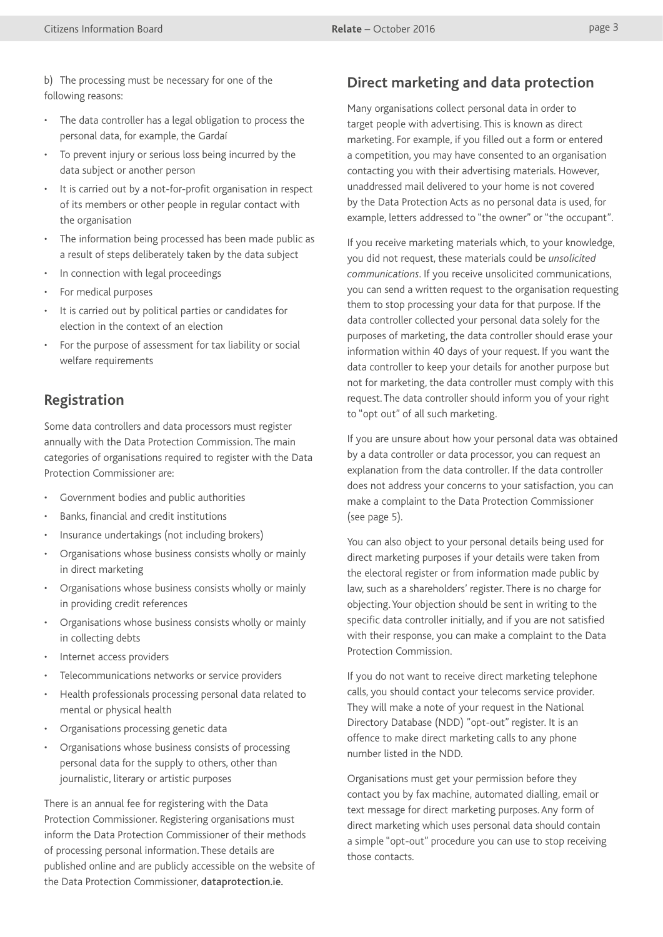b) The processing must be necessary for one of the following reasons:

- The data controller has a legal obligation to process the personal data, for example, the Gardaí
- To prevent injury or serious loss being incurred by the data subject or another person
- It is carried out by a not-for-profit organisation in respect of its members or other people in regular contact with the organisation
- The information being processed has been made public as a result of steps deliberately taken by the data subject
- In connection with legal proceedings
- For medical purposes
- It is carried out by political parties or candidates for election in the context of an election
- For the purpose of assessment for tax liability or social welfare requirements

#### **Registration**

Some data controllers and data processors must register annually with the Data Protection Commission. The main categories of organisations required to register with the Data Protection Commissioner are:

- Government bodies and public authorities
- Banks, financial and credit institutions
- Insurance undertakings (not including brokers)
- Organisations whose business consists wholly or mainly in direct marketing
- Organisations whose business consists wholly or mainly in providing credit references
- Organisations whose business consists wholly or mainly in collecting debts
- Internet access providers
- Telecommunications networks or service providers
- Health professionals processing personal data related to mental or physical health
- Organisations processing genetic data
- Organisations whose business consists of processing personal data for the supply to others, other than journalistic, literary or artistic purposes

There is an annual fee for registering with the Data Protection Commissioner. Registering organisations must inform the Data Protection Commissioner of their methods of processing personal information. These details are published online and are publicly accessible on the website of the Data Protection Commissioner, [dataprotection.ie](http://dataprotection.ie).

#### **Direct marketing and data protection**

Many organisations collect personal data in order to target people with advertising. This is known as direct marketing. For example, if you filled out a form or entered a competition, you may have consented to an organisation contacting you with their advertising materials. However, unaddressed mail delivered to your home is not covered by the Data Protection Acts as no personal data is used, for example, letters addressed to "the owner" or "the occupant".

If you receive marketing materials which, to your knowledge, you did not request, these materials could be *unsolicited communications*. If you receive unsolicited communications, you can send a written request to the organisation requesting them to stop processing your data for that purpose. If the data controller collected your personal data solely for the purposes of marketing, the data controller should erase your information within 40 days of your request. If you want the data controller to keep your details for another purpose but not for marketing, the data controller must comply with this request. The data controller should inform you of your right to "opt out" of all such marketing.

If you are unsure about how your personal data was obtained by a data controller or data processor, you can request an explanation from the data controller. If the data controller does not address your concerns to your satisfaction, you can make a complaint to the Data Protection Commissioner (see page 5).

You can also object to your personal details being used for direct marketing purposes if your details were taken from the electoral register or from information made public by law, such as a shareholders' register. There is no charge for objecting. Your objection should be sent in writing to the specific data controller initially, and if you are not satisfied with their response, you can make a complaint to the Data Protection Commission.

If you do not want to receive direct marketing telephone calls, you should contact your telecoms service provider. They will make a note of your request in the National Directory Database (NDD) "opt-out" register. It is an offence to make direct marketing calls to any phone number listed in the NDD.

Organisations must get your permission before they contact you by fax machine, automated dialling, email or text message for direct marketing purposes. Any form of direct marketing which uses personal data should contain a simple "opt-out" procedure you can use to stop receiving those contacts.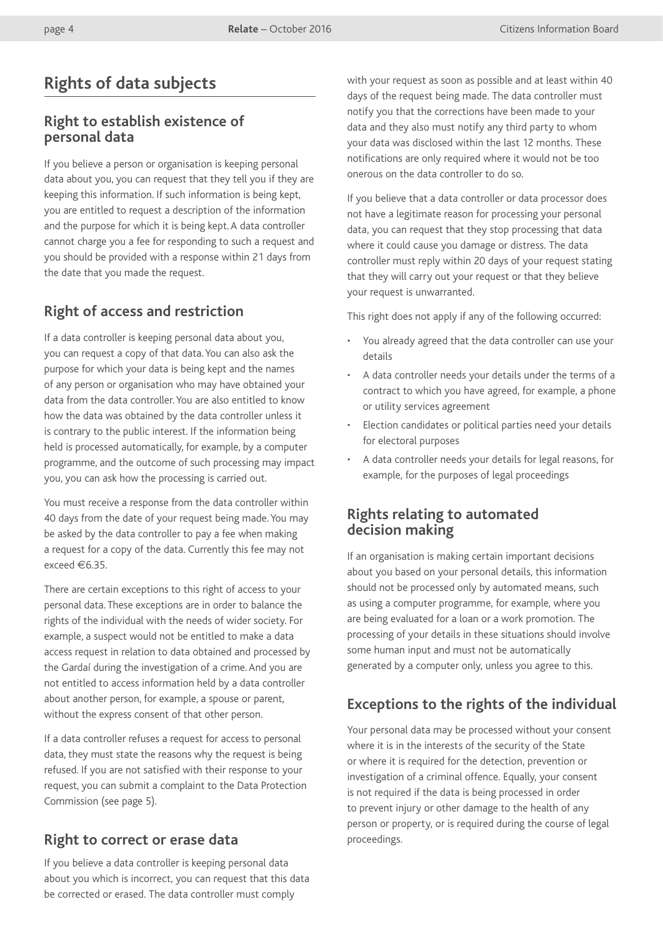# **Rights of data subjects**

#### **Right to establish existence of personal data**

If you believe a person or organisation is keeping personal data about you, you can request that they tell you if they are keeping this information. If such information is being kept, you are entitled to request a description of the information and the purpose for which it is being kept. A data controller cannot charge you a fee for responding to such a request and you should be provided with a response within 21 days from the date that you made the request.

# **Right of access and restriction**

If a data controller is keeping personal data about you, you can request a copy of that data. You can also ask the purpose for which your data is being kept and the names of any person or organisation who may have obtained your data from the data controller. You are also entitled to know how the data was obtained by the data controller unless it is contrary to the public interest. If the information being held is processed automatically, for example, by a computer programme, and the outcome of such processing may impact you, you can ask how the processing is carried out.

You must receive a response from the data controller within 40 days from the date of your request being made. You may be asked by the data controller to pay a fee when making a request for a copy of the data. Currently this fee may not exceed €6.35.

There are certain exceptions to this right of access to your personal data. These exceptions are in order to balance the rights of the individual with the needs of wider society. For example, a suspect would not be entitled to make a data access request in relation to data obtained and processed by the Gardaí during the investigation of a crime. And you are not entitled to access information held by a data controller about another person, for example, a spouse or parent, without the express consent of that other person.

If a data controller refuses a request for access to personal data, they must state the reasons why the request is being refused. If you are not satisfied with their response to your request, you can submit a complaint to the Data Protection Commission (see page 5).

#### **Right to correct or erase data**

If you believe a data controller is keeping personal data about you which is incorrect, you can request that this data be corrected or erased. The data controller must comply

with your request as soon as possible and at least within 40 days of the request being made. The data controller must notify you that the corrections have been made to your data and they also must notify any third party to whom your data was disclosed within the last 12 months. These notifications are only required where it would not be too onerous on the data controller to do so.

If you believe that a data controller or data processor does not have a legitimate reason for processing your personal data, you can request that they stop processing that data where it could cause you damage or distress. The data controller must reply within 20 days of your request stating that they will carry out your request or that they believe your request is unwarranted.

This right does not apply if any of the following occurred:

- You already agreed that the data controller can use your details
- A data controller needs your details under the terms of a contract to which you have agreed, for example, a phone or utility services agreement
- Election candidates or political parties need your details for electoral purposes
- A data controller needs your details for legal reasons, for example, for the purposes of legal proceedings

#### **Rights relating to automated decision making**

If an organisation is making certain important decisions about you based on your personal details, this information should not be processed only by automated means, such as using a computer programme, for example, where you are being evaluated for a loan or a work promotion. The processing of your details in these situations should involve some human input and must not be automatically generated by a computer only, unless you agree to this.

# **Exceptions to the rights of the individual**

Your personal data may be processed without your consent where it is in the interests of the security of the State or where it is required for the detection, prevention or investigation of a criminal offence. Equally, your consent is not required if the data is being processed in order to prevent injury or other damage to the health of any person or property, or is required during the course of legal proceedings.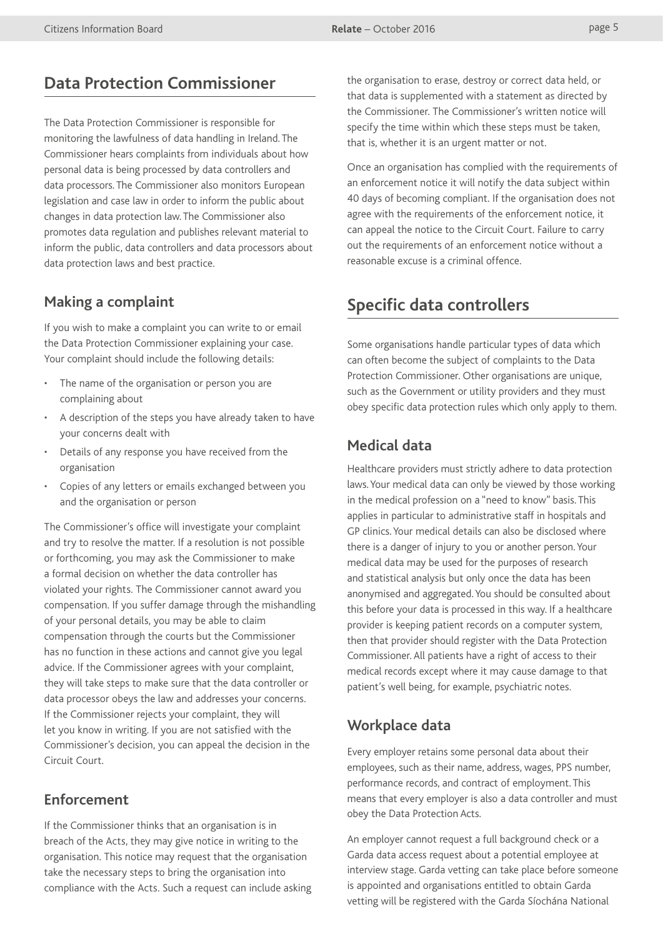# **Data Protection Commissioner**

The Data Protection Commissioner is responsible for monitoring the lawfulness of data handling in Ireland. The Commissioner hears complaints from individuals about how personal data is being processed by data controllers and data processors. The Commissioner also monitors European legislation and case law in order to inform the public about changes in data protection law. The Commissioner also promotes data regulation and publishes relevant material to inform the public, data controllers and data processors about data protection laws and best practice.

#### **Making a complaint**

If you wish to make a complaint you can write to or email the Data Protection Commissioner explaining your case. Your complaint should include the following details:

- The name of the organisation or person you are complaining about
- A description of the steps you have already taken to have your concerns dealt with
- Details of any response you have received from the organisation
- Copies of any letters or emails exchanged between you and the organisation or person

The Commissioner's office will investigate your complaint and try to resolve the matter. If a resolution is not possible or forthcoming, you may ask the Commissioner to make a formal decision on whether the data controller has violated your rights. The Commissioner cannot award you compensation. If you suffer damage through the mishandling of your personal details, you may be able to claim compensation through the courts but the Commissioner has no function in these actions and cannot give you legal advice. If the Commissioner agrees with your complaint, they will take steps to make sure that the data controller or data processor obeys the law and addresses your concerns. If the Commissioner rejects your complaint, they will let you know in writing. If you are not satisfied with the Commissioner's decision, you can appeal the decision in the Circuit Court.

#### **Enforcement**

If the Commissioner thinks that an organisation is in breach of the Acts, they may give notice in writing to the organisation. This notice may request that the organisation take the necessary steps to bring the organisation into compliance with the Acts. Such a request can include asking the organisation to erase, destroy or correct data held, or that data is supplemented with a statement as directed by the Commissioner. The Commissioner's written notice will specify the time within which these steps must be taken, that is, whether it is an urgent matter or not.

Once an organisation has complied with the requirements of an enforcement notice it will notify the data subject within 40 days of becoming compliant. If the organisation does not agree with the requirements of the enforcement notice, it can appeal the notice to the Circuit Court. Failure to carry out the requirements of an enforcement notice without a reasonable excuse is a criminal offence.

# **Specific data controllers**

Some organisations handle particular types of data which can often become the subject of complaints to the Data Protection Commissioner. Other organisations are unique, such as the Government or utility providers and they must obey specific data protection rules which only apply to them.

#### **Medical data**

Healthcare providers must strictly adhere to data protection laws. Your medical data can only be viewed by those working in the medical profession on a "need to know" basis. This applies in particular to administrative staff in hospitals and GP clinics. Your medical details can also be disclosed where there is a danger of injury to you or another person. Your medical data may be used for the purposes of research and statistical analysis but only once the data has been anonymised and aggregated. You should be consulted about this before your data is processed in this way. If a healthcare provider is keeping patient records on a computer system, then that provider should register with the Data Protection Commissioner. All patients have a right of access to their medical records except where it may cause damage to that patient's well being, for example, psychiatric notes.

# **Workplace data**

Every employer retains some personal data about their employees, such as their name, address, wages, PPS number, performance records, and contract of employment. This means that every employer is also a data controller and must obey the Data Protection Acts.

An employer cannot request a full background check or a Garda data access request about a potential employee at interview stage. Garda vetting can take place before someone is appointed and organisations entitled to obtain Garda vetting will be registered with the Garda Síochána National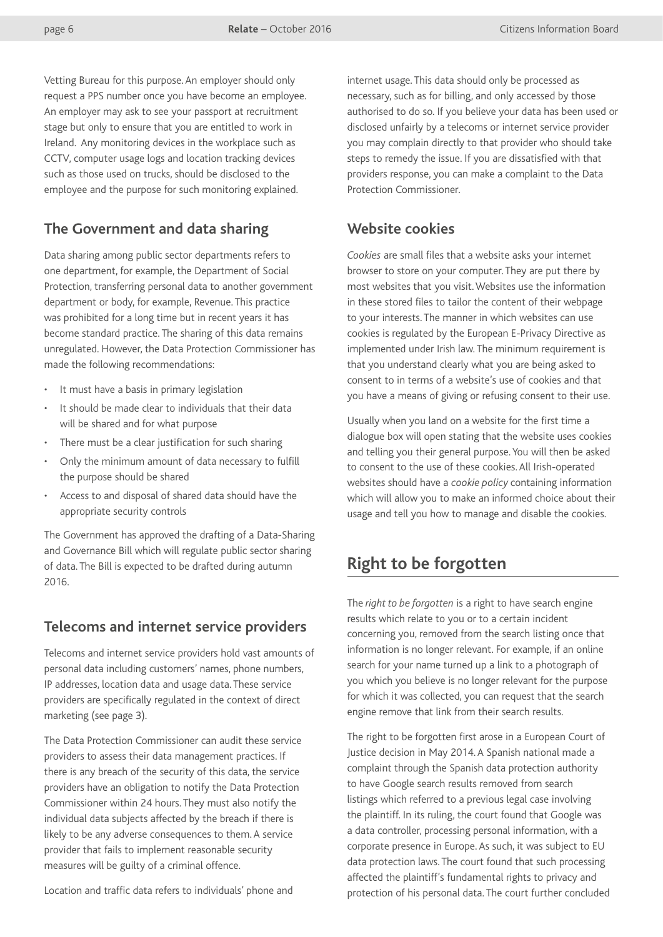Vetting Bureau for this purpose. An employer should only request a PPS number once you have become an employee. An employer may ask to see your passport at recruitment stage but only to ensure that you are entitled to work in Ireland. Any monitoring devices in the workplace such as CCTV, computer usage logs and location tracking devices such as those used on trucks, should be disclosed to the employee and the purpose for such monitoring explained.

#### **The Government and data sharing**

Data sharing among public sector departments refers to one department, for example, the Department of Social Protection, transferring personal data to another government department or body, for example, Revenue. This practice was prohibited for a long time but in recent years it has become standard practice. The sharing of this data remains unregulated. However, the Data Protection Commissioner has made the following recommendations:

- It must have a basis in primary legislation
- It should be made clear to individuals that their data will be shared and for what purpose
- There must be a clear justification for such sharing
- Only the minimum amount of data necessary to fulfill the purpose should be shared
- Access to and disposal of shared data should have the appropriate security controls

The Government has approved the drafting of a Data-Sharing and Governance Bill which will regulate public sector sharing of data. The Bill is expected to be drafted during autumn 2016.

#### **Telecoms and internet service providers**

Telecoms and internet service providers hold vast amounts of personal data including customers' names, phone numbers, IP addresses, location data and usage data. These service providers are specifically regulated in the context of direct marketing (see page 3).

The Data Protection Commissioner can audit these service providers to assess their data management practices. If there is any breach of the security of this data, the service providers have an obligation to notify the Data Protection Commissioner within 24 hours. They must also notify the individual data subjects affected by the breach if there is likely to be any adverse consequences to them. A service provider that fails to implement reasonable security measures will be guilty of a criminal offence.

Location and traffic data refers to individuals' phone and

internet usage. This data should only be processed as necessary, such as for billing, and only accessed by those authorised to do so. If you believe your data has been used or disclosed unfairly by a telecoms or internet service provider you may complain directly to that provider who should take steps to remedy the issue. If you are dissatisfied with that providers response, you can make a complaint to the Data Protection Commissioner.

#### **Website cookies**

*Cookies* are small files that a website asks your internet browser to store on your computer. They are put there by most websites that you visit. Websites use the information in these stored files to tailor the content of their webpage to your interests. The manner in which websites can use cookies is regulated by the European E-Privacy Directive as implemented under Irish law. The minimum requirement is that you understand clearly what you are being asked to consent to in terms of a website's use of cookies and that you have a means of giving or refusing consent to their use.

Usually when you land on a website for the first time a dialogue box will open stating that the website uses cookies and telling you their general purpose. You will then be asked to consent to the use of these cookies. All Irish-operated websites should have a *cookie policy* containing information which will allow you to make an informed choice about their usage and tell you how to manage and disable the cookies.

#### **Right to be forgotten**

The *right to be forgotten* is a right to have search engine results which relate to you or to a certain incident concerning you, removed from the search listing once that information is no longer relevant. For example, if an online search for your name turned up a link to a photograph of you which you believe is no longer relevant for the purpose for which it was collected, you can request that the search engine remove that link from their search results.

The right to be forgotten first arose in a European Court of Justice decision in May 2014. A Spanish national made a complaint through the Spanish data protection authority to have Google search results removed from search listings which referred to a previous legal case involving the plaintiff. In its ruling, the court found that Google was a data controller, processing personal information, with a corporate presence in Europe. As such, it was subject to EU data protection laws. The court found that such processing affected the plaintiff's fundamental rights to privacy and protection of his personal data. The court further concluded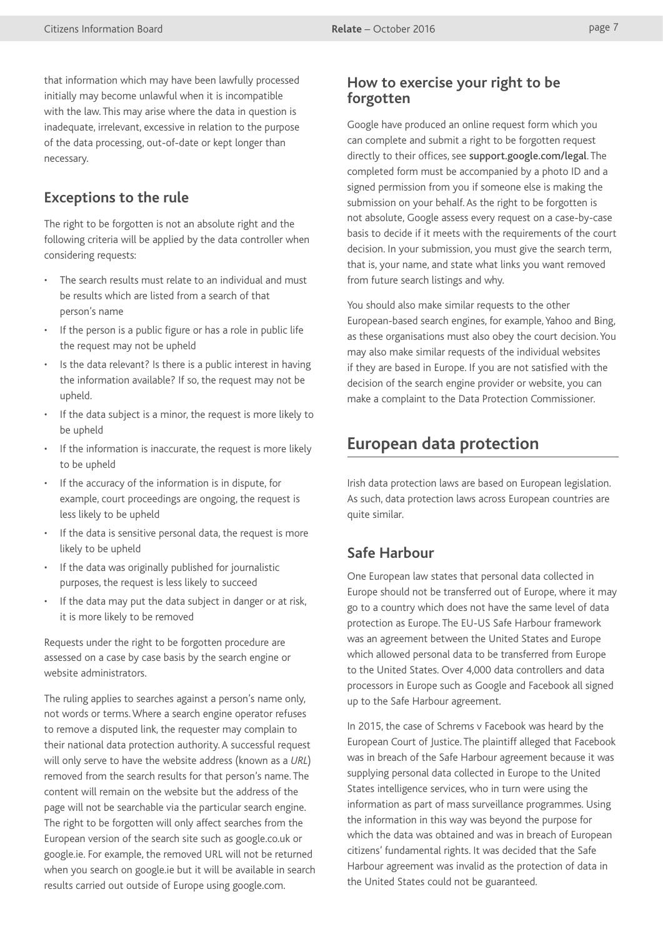that information which may have been lawfully processed initially may become unlawful when it is incompatible with the law. This may arise where the data in question is inadequate, irrelevant, excessive in relation to the purpose of the data processing, out-of-date or kept longer than necessary.

#### **Exceptions to the rule**

The right to be forgotten is not an absolute right and the following criteria will be applied by the data controller when considering requests:

- The search results must relate to an individual and must be results which are listed from a search of that person's name
- If the person is a public figure or has a role in public life the request may not be upheld
- Is the data relevant? Is there is a public interest in having the information available? If so, the request may not be upheld.
- If the data subject is a minor, the request is more likely to be upheld
- If the information is inaccurate, the request is more likely to be upheld
- If the accuracy of the information is in dispute, for example, court proceedings are ongoing, the request is less likely to be upheld
- If the data is sensitive personal data, the request is more likely to be upheld
- If the data was originally published for journalistic purposes, the request is less likely to succeed
- If the data may put the data subject in danger or at risk, it is more likely to be removed

Requests under the right to be forgotten procedure are assessed on a case by case basis by the search engine or website administrators.

The ruling applies to searches against a person's name only, not words or terms. Where a search engine operator refuses to remove a disputed link, the requester may complain to their national data protection authority. A successful request will only serve to have the website address (known as a *URL*) removed from the search results for that person's name. The content will remain on the website but the address of the page will not be searchable via the particular search engine. The right to be forgotten will only affect searches from the European version of the search site such as google.co.uk or google.ie. For example, the removed URL will not be returned when you search on [google.ie](http://google.ie) but it will be available in search results carried out outside of Europe using [google.com.](http://google.com)

#### **How to exercise your right to be forgotten**

Google have produced an online request form which you can complete and submit a right to be forgotten request directly to their offices, see [support.google.com/legal](http://support.google.com/legal). The completed form must be accompanied by a photo ID and a signed permission from you if someone else is making the submission on your behalf. As the right to be forgotten is not absolute, Google assess every request on a case-by-case basis to decide if it meets with the requirements of the court decision. In your submission, you must give the search term, that is, your name, and state what links you want removed from future search listings and why.

You should also make similar requests to the other European-based search engines, for example, Yahoo and Bing, as these organisations must also obey the court decision. You may also make similar requests of the individual websites if they are based in Europe. If you are not satisfied with the decision of the search engine provider or website, you can make a complaint to the Data Protection Commissioner.

# **European data protection**

Irish data protection laws are based on European legislation. As such, data protection laws across European countries are quite similar.

#### **Safe Harbour**

One European law states that personal data collected in Europe should not be transferred out of Europe, where it may go to a country which does not have the same level of data protection as Europe. The EU-US Safe Harbour framework was an agreement between the United States and Europe which allowed personal data to be transferred from Europe to the United States. Over 4,000 data controllers and data processors in Europe such as Google and Facebook all signed up to the Safe Harbour agreement.

In 2015, the case of Schrems v Facebook was heard by the European Court of Justice. The plaintiff alleged that Facebook was in breach of the Safe Harbour agreement because it was supplying personal data collected in Europe to the United States intelligence services, who in turn were using the information as part of mass surveillance programmes. Using the information in this way was beyond the purpose for which the data was obtained and was in breach of European citizens' fundamental rights. It was decided that the Safe Harbour agreement was invalid as the protection of data in the United States could not be guaranteed.